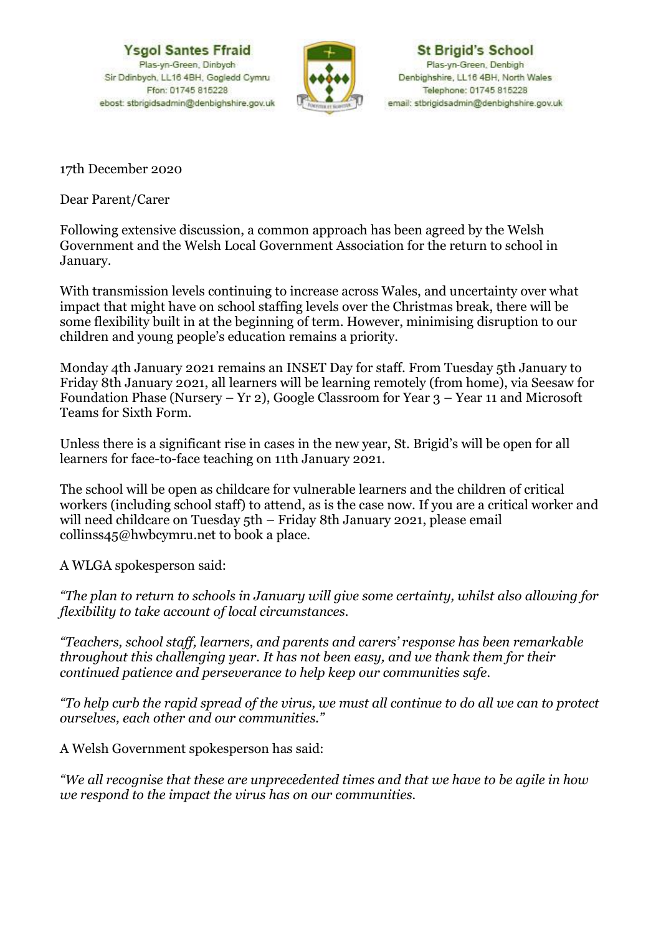**Ysgol Santes Ffraid** Plas-yn-Green, Dinbych Sir Ddinbych, LL16 4BH, Gogledd Cymru Ffon: 01745 815228 ebost: stbrigidsadmin@denbighshire.gov.uk



**St Brigid's School** Plas-yn-Green, Denbigh Denbighshire, LL16 4BH, North Wales Telephone: 01745 815228 email: stbrigidsadmin@denbighshire.gov.uk

17th December 2020

Dear Parent/Carer

Following extensive discussion, a common approach has been agreed by the Welsh Government and the Welsh Local Government Association for the return to school in January.

With transmission levels continuing to increase across Wales, and uncertainty over what impact that might have on school staffing levels over the Christmas break, there will be some flexibility built in at the beginning of term. However, minimising disruption to our children and young people's education remains a priority.

Monday 4th January 2021 remains an INSET Day for staff. From Tuesday 5th January to Friday 8th January 2021, all learners will be learning remotely (from home), via Seesaw for Foundation Phase (Nursery – Yr 2), Google Classroom for Year 3 – Year 11 and Microsoft Teams for Sixth Form.

Unless there is a significant rise in cases in the new year, St. Brigid's will be open for all learners for face-to-face teaching on 11th January 2021.

The school will be open as childcare for vulnerable learners and the children of critical workers (including school staff) to attend, as is the case now. If you are a critical worker and will need childcare on Tuesday 5th – Friday 8th January 2021, please email collinss45@hwbcymru.net to book a place.

A WLGA spokesperson said:

*"The plan to return to schools in January will give some certainty, whilst also allowing for flexibility to take account of local circumstances.*

*"Teachers, school staff, learners, and parents and carers' response has been remarkable throughout this challenging year. It has not been easy, and we thank them for their continued patience and perseverance to help keep our communities safe.*

*"To help curb the rapid spread of the virus, we must all continue to do all we can to protect ourselves, each other and our communities."*

A Welsh Government spokesperson has said:

*"We all recognise that these are unprecedented times and that we have to be agile in how we respond to the impact the virus has on our communities.*